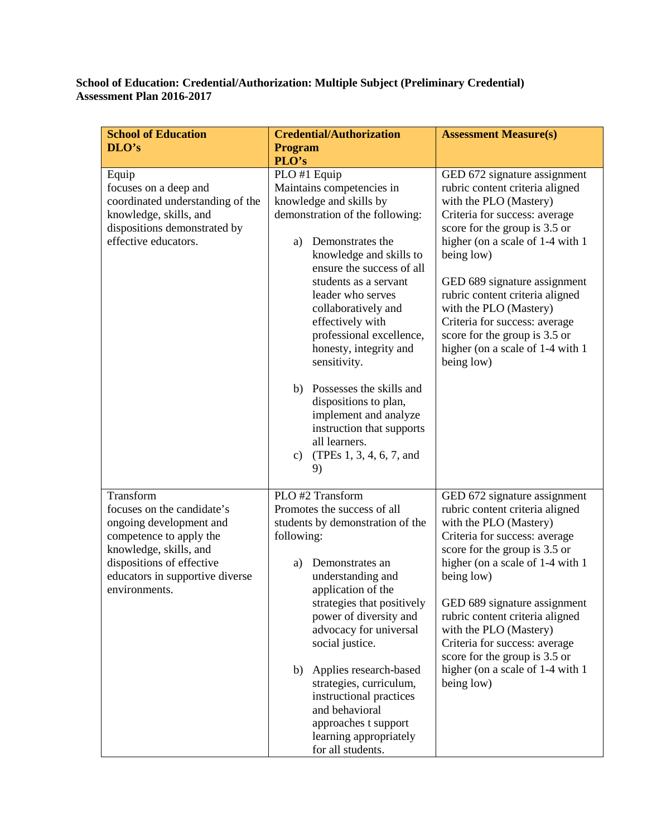## **School of Education: Credential/Authorization: Multiple Subject (Preliminary Credential) Assessment Plan 2016-2017**

| <b>School of Education</b>                                                                                                                                                                               | <b>Credential/Authorization</b>                                                                                                                                                                                                                                                                                                                          | <b>Assessment Measure(s)</b>                                                                                                                                                                                                                                                                                                                                                                                                   |
|----------------------------------------------------------------------------------------------------------------------------------------------------------------------------------------------------------|----------------------------------------------------------------------------------------------------------------------------------------------------------------------------------------------------------------------------------------------------------------------------------------------------------------------------------------------------------|--------------------------------------------------------------------------------------------------------------------------------------------------------------------------------------------------------------------------------------------------------------------------------------------------------------------------------------------------------------------------------------------------------------------------------|
| DLO's                                                                                                                                                                                                    | <b>Program</b>                                                                                                                                                                                                                                                                                                                                           |                                                                                                                                                                                                                                                                                                                                                                                                                                |
|                                                                                                                                                                                                          | PLO's                                                                                                                                                                                                                                                                                                                                                    |                                                                                                                                                                                                                                                                                                                                                                                                                                |
| Equip<br>focuses on a deep and<br>coordinated understanding of the<br>knowledge, skills, and<br>dispositions demonstrated by<br>effective educators.                                                     | PLO #1 Equip<br>Maintains competencies in<br>knowledge and skills by<br>demonstration of the following:<br>Demonstrates the<br>a)<br>knowledge and skills to<br>ensure the success of all<br>students as a servant<br>leader who serves<br>collaboratively and<br>effectively with<br>professional excellence,<br>honesty, integrity and<br>sensitivity. | GED 672 signature assignment<br>rubric content criteria aligned<br>with the PLO (Mastery)<br>Criteria for success: average<br>score for the group is 3.5 or<br>higher (on a scale of 1-4 with 1<br>being low)<br>GED 689 signature assignment<br>rubric content criteria aligned<br>with the PLO (Mastery)<br>Criteria for success: average<br>score for the group is 3.5 or<br>higher (on a scale of 1-4 with 1<br>being low) |
|                                                                                                                                                                                                          | b) Possesses the skills and<br>dispositions to plan,<br>implement and analyze<br>instruction that supports<br>all learners.<br>(TPEs 1, 3, 4, 6, 7, and<br>c)<br>9)                                                                                                                                                                                      |                                                                                                                                                                                                                                                                                                                                                                                                                                |
| Transform<br>focuses on the candidate's<br>ongoing development and<br>competence to apply the<br>knowledge, skills, and<br>dispositions of effective<br>educators in supportive diverse<br>environments. | PLO #2 Transform<br>Promotes the success of all<br>students by demonstration of the<br>following:<br>Demonstrates an<br>a)<br>understanding and<br>application of the<br>strategies that positively<br>power of diversity and<br>advocacy for universal<br>social justice.                                                                               | GED 672 signature assignment<br>rubric content criteria aligned<br>with the PLO (Mastery)<br>Criteria for success: average<br>score for the group is 3.5 or<br>higher (on a scale of 1-4 with 1<br>being low)<br>GED 689 signature assignment<br>rubric content criteria aligned<br>with the PLO (Mastery)<br>Criteria for success: average<br>score for the group is 3.5 or                                                   |
|                                                                                                                                                                                                          | Applies research-based<br>b)<br>strategies, curriculum,<br>instructional practices<br>and behavioral<br>approaches t support<br>learning appropriately<br>for all students.                                                                                                                                                                              | higher (on a scale of 1-4 with 1<br>being low)                                                                                                                                                                                                                                                                                                                                                                                 |